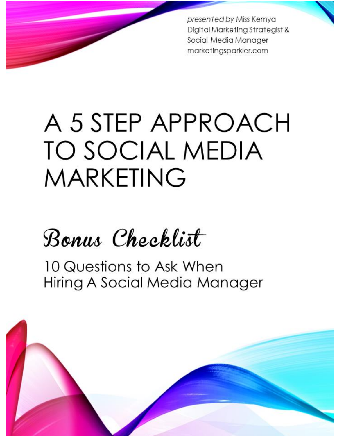presented by Miss Kemya Digital Marketing Strategist & Social Media Manager marketingsparkler.com

# A 5 STEP APPROACH TO SOCIAL MEDIA **MARKETING**

# Bonus Checklist

10 Questions to Ask When Hiring A Social Media Manager

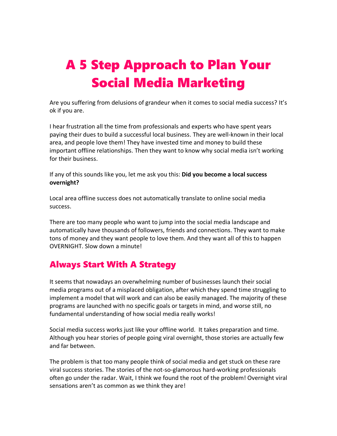# A 5 Step Approach to Plan Your Social Media Marketing

Are you suffering from delusions of grandeur when it comes to social media success? It's ok if you are.

I hear frustration all the time from professionals and experts who have spent years paying their dues to build a successful local business. They are well-known in their local area, and people love them! They have invested time and money to build these important offline relationships. Then they want to know why social media isn't working for their business.

If any of this sounds like you, let me ask you this: **Did you become a local success overnight?**

Local area offline success does not automatically translate to online social media success.

There are too many people who want to jump into the social media landscape and automatically have thousands of followers, friends and connections. They want to make tons of money and they want people to love them. And they want all of this to happen OVERNIGHT. Slow down a minute!

## Always Start With A Strategy

It seems that nowadays an overwhelming number of businesses launch their social media programs out of a misplaced obligation, after which they spend time struggling to implement a model that will work and can also be easily managed. The majority of these programs are launched with no specific goals or targets in mind, and worse still, no fundamental understanding of how social media really works!

Social media success works just like your offline world. It takes preparation and time. Although you hear stories of people going viral overnight, those stories are actually few and far between.

The problem is that too many people think of social media and get stuck on these rare viral success stories. The stories of the not-so-glamorous hard-working professionals often go under the radar. Wait, I think we found the root of the problem! Overnight viral sensations aren't as common as we think they are!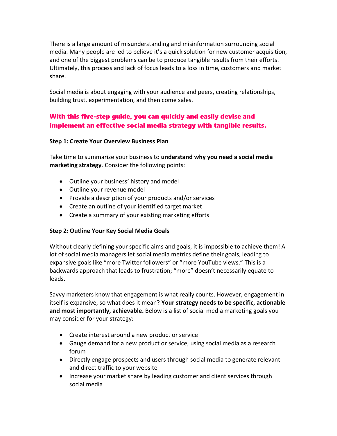There is a large amount of misunderstanding and misinformation surrounding social media. Many people are led to believe it's a quick solution for new customer acquisition, and one of the biggest problems can be to produce tangible results from their efforts. Ultimately, this process and lack of focus leads to a loss in time, customers and market share.

Social media is about engaging with your audience and peers, creating relationships, building trust, experimentation, and then come sales.

## With this five-step guide, you can quickly and easily devise and implement an effective social media strategy with tangible results.

## **Step 1: Create Your Overview Business Plan**

Take time to summarize your business to **understand why you need a social media marketing strategy**. Consider the following points:

- Outline your business' history and model
- Outline your revenue model
- Provide a description of your products and/or services
- Create an outline of your identified target market
- Create a summary of your existing marketing efforts

## **Step 2: Outline Your Key Social Media Goals**

Without clearly defining your specific aims and goals, it is impossible to achieve them! A lot of social media managers let social media metrics define their goals, leading to expansive goals like "more Twitter followers" or "more YouTube views." This is a backwards approach that leads to frustration; "more" doesn't necessarily equate to leads.

Savvy marketers know that engagement is what really counts. However, engagement in itself is expansive, so what does it mean? **Your strategy needs to be specific, actionable and most importantly, achievable.** Below is a list of social media marketing goals you may consider for your strategy:

- Create interest around a new product or service
- Gauge demand for a new product or service, using social media as a research forum
- Directly engage prospects and users through social media to generate relevant and direct traffic to your website
- Increase your market share by leading customer and client services through social media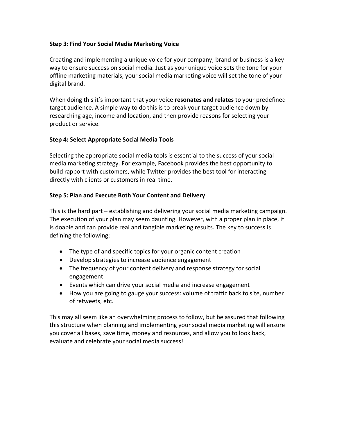## **Step 3: Find Your Social Media Marketing Voice**

Creating and implementing a unique voice for your company, brand or business is a key way to ensure success on social media. Just as your unique voice sets the tone for your offline marketing materials, your social media marketing voice will set the tone of your digital brand.

When doing this it's important that your voice **resonates and relates** to your predefined target audience. A simple way to do this is to break your target audience down by researching age, income and location, and then provide reasons for selecting your product or service.

## **Step 4: Select Appropriate Social Media Tools**

Selecting the appropriate social media tools is essential to the success of your social media marketing strategy. For example, Facebook provides the best opportunity to build rapport with customers, while Twitter provides the best tool for interacting directly with clients or customers in real time.

## **Step 5: Plan and Execute Both Your Content and Delivery**

This is the hard part – establishing and delivering your social media marketing campaign. The execution of your plan may seem daunting. However, with a proper plan in place, it is doable and can provide real and tangible marketing results. The key to success is defining the following:

- The type of and specific topics for your organic content creation
- Develop strategies to increase audience engagement
- The frequency of your content delivery and response strategy for social engagement
- Events which can drive your social media and increase engagement
- How you are going to gauge your success: volume of traffic back to site, number of retweets, etc.

This may all seem like an overwhelming process to follow, but be assured that following this structure when planning and implementing your social media marketing will ensure you cover all bases, save time, money and resources, and allow you to look back, evaluate and celebrate your social media success!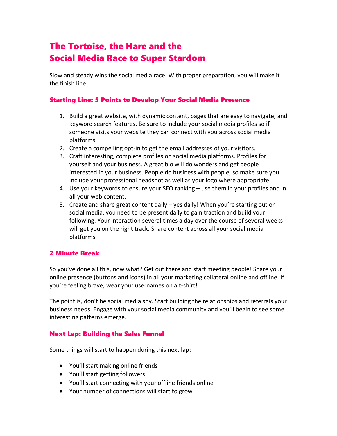## The Tortoise, the Hare and the Social Media Race to Super Stardom

Slow and steady wins the social media race. With proper preparation, you will make it the finish line!

## Starting Line: 5 Points to Develop Your Social Media Presence

- 1. Build a great website, with dynamic content, pages that are easy to navigate, and keyword search features. Be sure to include your social media profiles so if someone visits your website they can connect with you across social media platforms.
- 2. Create a compelling opt-in to get the email addresses of your visitors.
- 3. Craft interesting, complete profiles on social media platforms. Profiles for yourself and your business. A great bio will do wonders and get people interested in your business. People do business with people, so make sure you include your professional headshot as well as your logo where appropriate.
- 4. Use your keywords to ensure your SEO ranking use them in your profiles and in all your web content.
- 5. Create and share great content daily yes daily! When you're starting out on social media, you need to be present daily to gain traction and build your following. Your interaction several times a day over the course of several weeks will get you on the right track. Share content across all your social media platforms.

#### 2 Minute Break

So you've done all this, now what? Get out there and start meeting people! Share your online presence (buttons and icons) in all your marketing collateral online and offline. If you're feeling brave, wear your usernames on a t-shirt!

The point is, don't be social media shy. Start building the relationships and referrals your business needs. Engage with your social media community and you'll begin to see some interesting patterns emerge.

## Next Lap: Building the Sales Funnel

Some things will start to happen during this next lap:

- You'll start making online friends
- You'll start getting followers
- You'll start connecting with your offline friends online
- Your number of connections will start to grow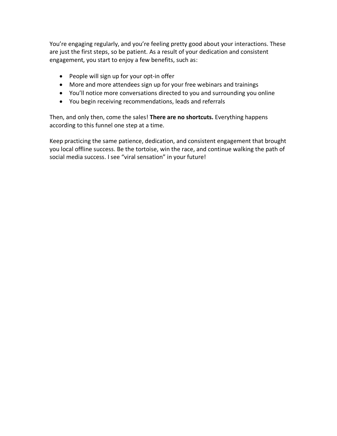You're engaging regularly, and you're feeling pretty good about your interactions. These are just the first steps, so be patient. As a result of your dedication and consistent engagement, you start to enjoy a few benefits, such as:

- People will sign up for your opt-in offer
- More and more attendees sign up for your free webinars and trainings
- You'll notice more conversations directed to you and surrounding you online
- You begin receiving recommendations, leads and referrals

Then, and only then, come the sales! **There are no shortcuts.** Everything happens according to this funnel one step at a time.

Keep practicing the same patience, dedication, and consistent engagement that brought you local offline success. Be the tortoise, win the race, and continue walking the path of social media success. I see "viral sensation" in your future!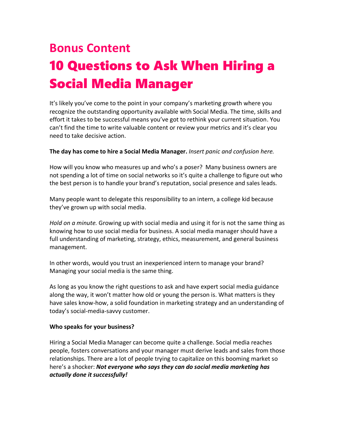# **Bonus Content** 10 Questions to Ask When Hiring a Social Media Manager

It's likely you've come to the point in your company's marketing growth where you recognize the outstanding opportunity available with Social Media. The time, skills and effort it takes to be successful means you've got to rethink your current situation. You can't find the time to write valuable content or review your metrics and it's clear you need to take decisive action.

## **The day has come to hire a Social Media Manager.** *Insert panic and confusion here.*

How will you know who measures up and who's a poser? Many business owners are not spending a lot of time on social networks so it's quite a challenge to figure out who the best person is to handle your brand's reputation, social presence and sales leads.

Many people want to delegate this responsibility to an intern, a college kid because they've grown up with social media.

*Hold on a minute.* Growing up with social media and using it for is not the same thing as knowing how to use social media for business. A social media manager should have a full understanding of marketing, strategy, ethics, measurement, and general business management.

In other words, would you trust an inexperienced intern to manage your brand? Managing your social media is the same thing.

As long as you know the right questions to ask and have expert social media guidance along the way, it won't matter how old or young the person is. What matters is they have sales know-how, a solid foundation in marketing strategy and an understanding of today's social-media-savvy customer.

#### **Who speaks for your business?**

Hiring a Social Media Manager can become quite a challenge. Social media reaches people, fosters conversations and your manager must derive leads and sales from those relationships. There are a lot of people trying to capitalize on this booming market so here's a shocker: *Not everyone who says they can do social media marketing has actually done it successfully!*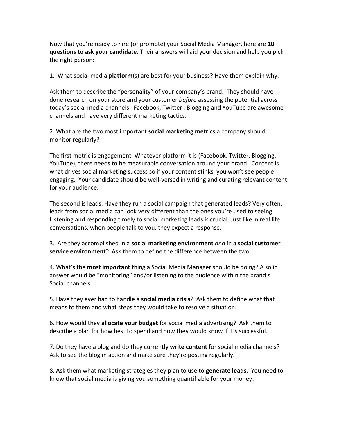Now that you're ready to hire (or promote) your Social Media Manager, here are **10 questions to ask your candidate**. Their answers will aid your decision and help you pick the right person:

1. What social media **platform**(s) are best for your business? Have them explain why.

Ask them to describe the "personality" of your company's brand. They should have done research on your store and your customer *before* assessing the potential across today's social media channels. Facebook, Twitter , Blogging and YouTube are awesome channels and have very different marketing tactics.

2. What are the two most important **social marketing metrics** a company should monitor regularly?

The first metric is engagement. Whatever platform it is (Facebook, Twitter, Blogging, YouTube), there needs to be measurable conversation around your brand. Content is what drives social marketing success so if your content stinks, you won't see people engaging. Your candidate should be well-versed in writing and curating relevant content for your audience.

The second is leads. Have they run a social campaign that generated leads? Very often, leads from social media can look very different than the ones you're used to seeing. Listening and responding timely to social marketing leads is crucial. Just like in real life conversations, when people talk to you, they expect a response.

3. Are they accomplished in a **social marketing environment** *and* in a **social customer service environment**? Ask them to define the difference between the two.

4. What's the **most important** thing a Social Media Manager should be doing? A solid answer would be "monitoring" and/or listening to the audience within the brand's Social channels.

5. Have they ever had to handle a **social media crisis**? Ask them to define what that means to them and what steps they would take to resolve a situation.

6. How would they **allocate your budget** for social media advertising? Ask them to describe a plan for how best to spend and how they would know if it's successful.

7. Do they have a blog and do they currently **write content** for social media channels? Ask to see the blog in action and make sure they're posting regularly.

8. Ask them what marketing strategies they plan to use to **generate leads**. You need to know that social media is giving you something quantifiable for your money.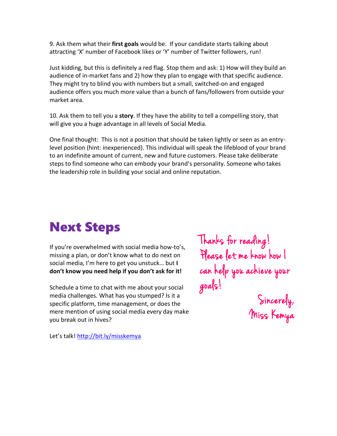9. Ask them what their **first goals** would be. If your candidate starts talking about attracting 'X' number of Facebook likes or 'Y' number of Twitter followers, run!

Just kidding, but this is definitely a red flag. Stop them and ask: 1) How will they build an audience of in-market fans and 2) how they plan to engage with that specific audience. They might try to blind you with numbers but a small, switched-on and engaged audience offers you much more value than a bunch of fans/followers from outside your market area.

10. Ask them to tell you a **story**. If they have the ability to tell a compelling story, that will give you a huge advantage in all levels of Social Media.

One final thought: This is not a position that should be taken lightly or seen as an entrylevel position (hint: inexperienced). This individual will speak the lifeblood of your brand to an indefinite amount of current, new and future customers. Please take deliberate steps to find someone who can embody your brand's personality. Someone who takes the leadership role in building your social and online reputation.

# Next Steps

If you're overwhelmed with social media how-to's, missing a plan, or don't know what to do next on social media, I'm here to get you unstuck… but **I don't know you need help if you don't ask for it!**

Schedule a time to chat with me about your social media challenges. What has you stumped? Is it a specific platform, time management, or does the mere mention of using social media every day make you break out in hives?

Let's talk! <http://bit.ly/misskemya>

Thanks for reading! Please let me know how I can help you achieve your goals!

Sincerely, Miss Kemya